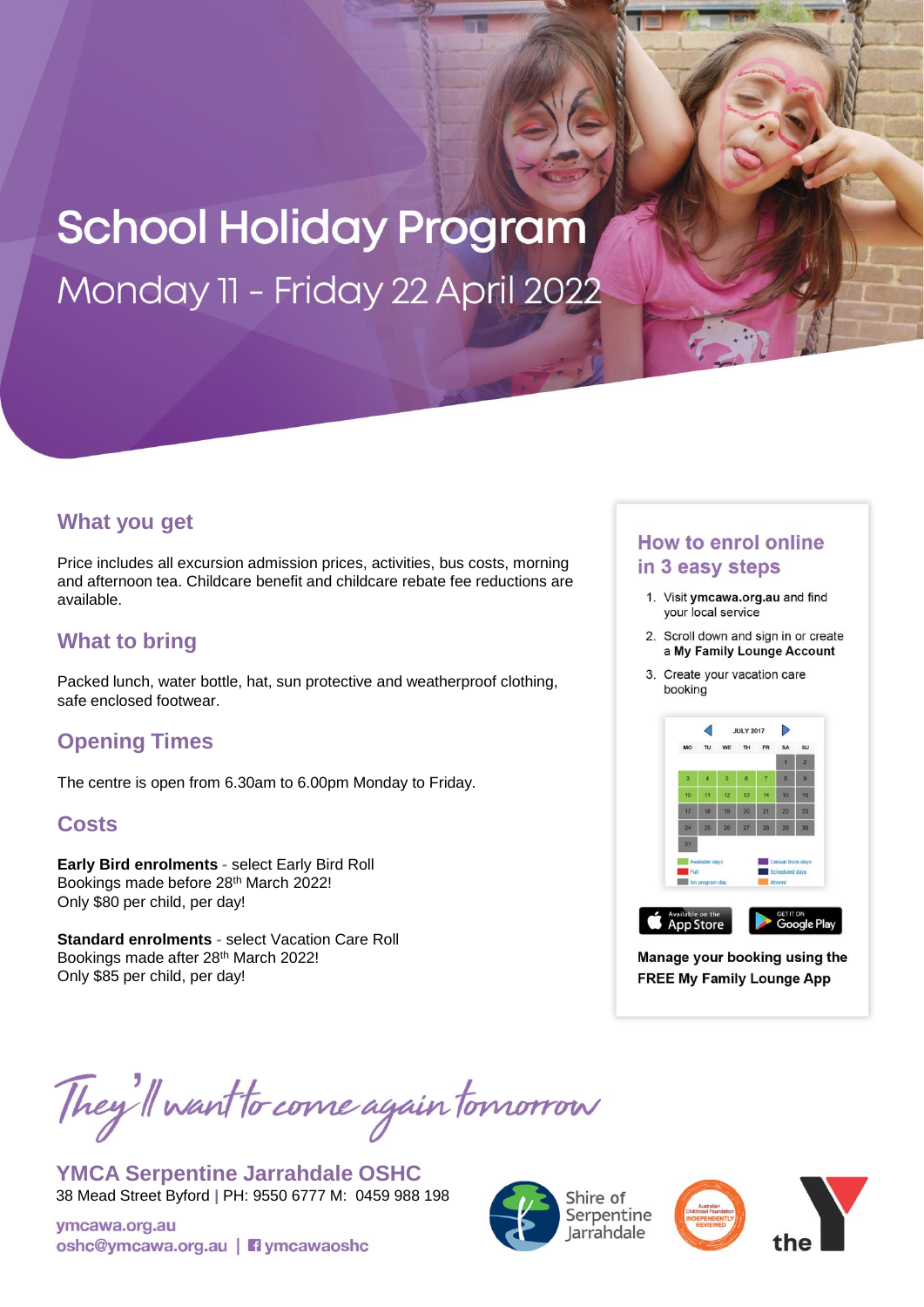# **School Holiday Program** Monday 11 - Friday 22 April 2022

### **What you get**

Price includes all excursion admission prices, activities, bus costs, morning and afternoon tea. Childcare benefit and childcare rebate fee reductions are available.

## **What to bring**

Packed lunch, water bottle, hat, sun protective and weatherproof clothing, safe enclosed footwear.

# **Opening Times**

The centre is open from 6.30am to 6.00pm Monday to Friday.

#### **Costs**

**Early Bird enrolments -** select Early Bird Roll Bookings made before 28th March 2022! Only \$80 per child, per day!

**Standard enrolments -** select Vacation Care Roll Bookings made after 28<sup>th</sup> March 2022! Only \$85 per child, per day!

# They'll want to come again tomorrow

**YMCA Serpentine Jarrahdale OSHC** 38 Mead Street Byford **|** PH: 9550 6777 M: 0459 988 198

ymcawa.org.au oshc@ymcawa.org.au | nymcawaoshc





#### **How to enrol online** in 3 easy steps

- 1. Visit ymcawa.org.au and find your local service
- 2. Scroll down and sign in or create a My Family Lounge Account
- 3. Create your vacation care booking



Manage your booking using the **FREE My Family Lounge App**